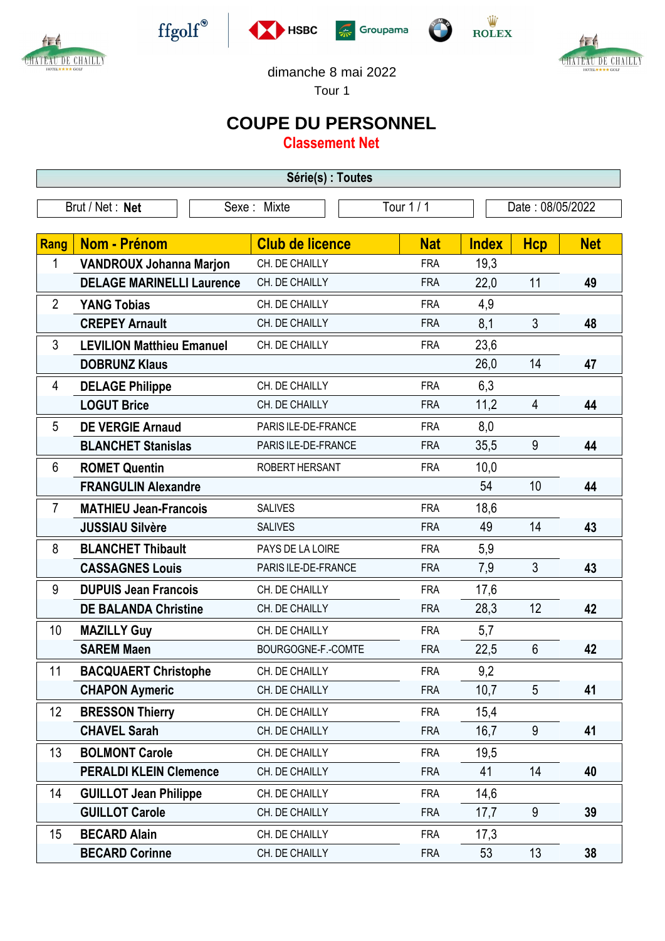









dimanche 8 mai 2022

Tour 1

## **COUPE DU PERSONNEL**

**Classement Net**

| Série(s) : Toutes |                                  |                        |            |              |                  |            |  |  |  |  |
|-------------------|----------------------------------|------------------------|------------|--------------|------------------|------------|--|--|--|--|
| Brut / Net: Net   |                                  | Sexe: Mixte            | Tour 1 / 1 |              | Date: 08/05/2022 |            |  |  |  |  |
| <b>Rang</b>       | <b>Nom - Prénom</b>              | <b>Club de licence</b> | <b>Nat</b> | <b>Index</b> | <b>Hcp</b>       | <b>Net</b> |  |  |  |  |
| 1                 | <b>VANDROUX Johanna Marjon</b>   | CH. DE CHAILLY         | <b>FRA</b> | 19,3         |                  |            |  |  |  |  |
|                   | <b>DELAGE MARINELLI Laurence</b> | CH. DE CHAILLY         | <b>FRA</b> | 22,0         | 11               | 49         |  |  |  |  |
| $\overline{2}$    | <b>YANG Tobias</b>               | CH. DE CHAILLY         | <b>FRA</b> | 4,9          |                  |            |  |  |  |  |
|                   | <b>CREPEY Arnault</b>            | CH. DE CHAILLY         | <b>FRA</b> | 8,1          | $\mathfrak{Z}$   | 48         |  |  |  |  |
| 3                 | <b>LEVILION Matthieu Emanuel</b> | CH. DE CHAILLY         | <b>FRA</b> | 23,6         |                  |            |  |  |  |  |
|                   | <b>DOBRUNZ Klaus</b>             |                        |            | 26,0         | 14               | 47         |  |  |  |  |
| 4                 | <b>DELAGE Philippe</b>           | CH. DE CHAILLY         | <b>FRA</b> | 6,3          |                  |            |  |  |  |  |
|                   | <b>LOGUT Brice</b>               | CH. DE CHAILLY         | <b>FRA</b> | 11,2         | $\overline{4}$   | 44         |  |  |  |  |
| 5                 | <b>DE VERGIE Arnaud</b>          | PARIS ILE-DE-FRANCE    | <b>FRA</b> | 8,0          |                  |            |  |  |  |  |
|                   | <b>BLANCHET Stanislas</b>        | PARIS ILE-DE-FRANCE    | <b>FRA</b> | 35,5         | 9                | 44         |  |  |  |  |
| 6                 | <b>ROMET Quentin</b>             | ROBERT HERSANT         | <b>FRA</b> | 10,0         |                  |            |  |  |  |  |
|                   | <b>FRANGULIN Alexandre</b>       |                        |            | 54           | 10               | 44         |  |  |  |  |
| 7                 | <b>MATHIEU Jean-Francois</b>     | <b>SALIVES</b>         | <b>FRA</b> | 18,6         |                  |            |  |  |  |  |
|                   | <b>JUSSIAU Silvère</b>           | <b>SALIVES</b>         | <b>FRA</b> | 49           | 14               | 43         |  |  |  |  |
| 8                 | <b>BLANCHET Thibault</b>         | PAYS DE LA LOIRE       | <b>FRA</b> | 5,9          |                  |            |  |  |  |  |
|                   | <b>CASSAGNES Louis</b>           | PARIS ILE-DE-FRANCE    | <b>FRA</b> | 7,9          | $\mathfrak{Z}$   | 43         |  |  |  |  |
| 9                 | <b>DUPUIS Jean Francois</b>      | CH. DE CHAILLY         | <b>FRA</b> | 17,6         |                  |            |  |  |  |  |
|                   | <b>DE BALANDA Christine</b>      | CH. DE CHAILLY         | <b>FRA</b> | 28,3         | 12               | 42         |  |  |  |  |
| 10                | <b>MAZILLY Guy</b>               | CH. DE CHAILLY         | <b>FRA</b> | 5,7          |                  |            |  |  |  |  |
|                   | <b>SAREM Maen</b>                | BOURGOGNE-F.-COMTE     | <b>FRA</b> | 22,5         | $6\,$            | 42         |  |  |  |  |
| 11                | <b>BACQUAERT Christophe</b>      | CH. DE CHAILLY         | <b>FRA</b> | 9,2          |                  |            |  |  |  |  |
|                   | <b>CHAPON Aymeric</b>            | CH. DE CHAILLY         | <b>FRA</b> | 10,7         | $5\overline{)}$  | 41         |  |  |  |  |
| 12                | <b>BRESSON Thierry</b>           | CH. DE CHAILLY         | <b>FRA</b> | 15,4         |                  |            |  |  |  |  |
|                   | <b>CHAVEL Sarah</b>              | CH. DE CHAILLY         | <b>FRA</b> | 16,7         | 9                | 41         |  |  |  |  |
| 13                | <b>BOLMONT Carole</b>            | CH. DE CHAILLY         | <b>FRA</b> | 19,5         |                  |            |  |  |  |  |
|                   | <b>PERALDI KLEIN Clemence</b>    | CH. DE CHAILLY         | <b>FRA</b> | 41           | 14               | 40         |  |  |  |  |
| 14                | <b>GUILLOT Jean Philippe</b>     | CH. DE CHAILLY         | <b>FRA</b> | 14,6         |                  |            |  |  |  |  |
|                   | <b>GUILLOT Carole</b>            | CH. DE CHAILLY         | <b>FRA</b> | 17,7         | 9                | 39         |  |  |  |  |
| 15                | <b>BECARD Alain</b>              | CH. DE CHAILLY         | <b>FRA</b> | 17,3         |                  |            |  |  |  |  |
|                   | <b>BECARD Corinne</b>            | CH. DE CHAILLY         | <b>FRA</b> | 53           | 13               | 38         |  |  |  |  |